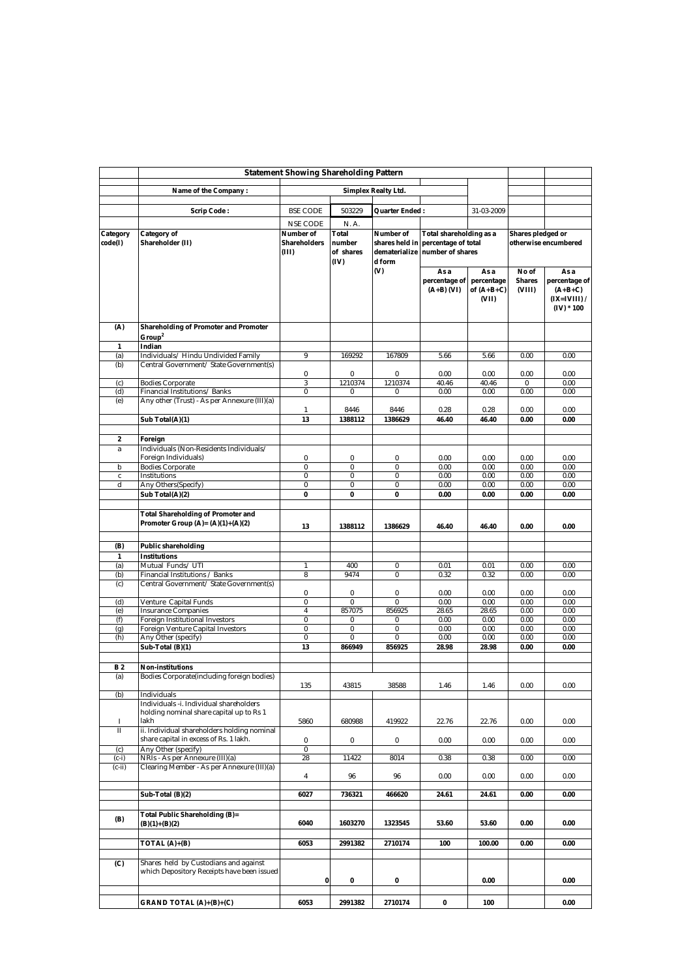|                  | <b>Statement Showing Shareholding Pattern</b>                                               |                              |                             |                                           |                                                  |                               |                                  |                                                                      |
|------------------|---------------------------------------------------------------------------------------------|------------------------------|-----------------------------|-------------------------------------------|--------------------------------------------------|-------------------------------|----------------------------------|----------------------------------------------------------------------|
|                  | Name of the Company:                                                                        | <b>Simplex Realty Ltd.</b>   |                             |                                           |                                                  |                               |                                  |                                                                      |
|                  |                                                                                             |                              |                             |                                           |                                                  |                               |                                  |                                                                      |
|                  | Scrip Code:                                                                                 | <b>BSE CODE</b>              | 503229                      | <b>Quarter Ended :</b>                    |                                                  | 31-03-2009                    |                                  |                                                                      |
| Category         | Category of                                                                                 | <b>NSE CODE</b><br>Number of | N.A.<br>Total               | Number of                                 | Total shareholding as a                          |                               | Shares pledged or                |                                                                      |
| code(I)          | Shareholder (II)                                                                            | Shareholders<br>(III)        | number<br>of shares<br>(IV) | shares held in<br>dematerialize<br>d form | percentage of total<br>number of shares          |                               |                                  | otherwise encumbered                                                 |
|                  |                                                                                             |                              |                             | (V)                                       | As a<br>percentage of percentage<br>$(A+B)$ (VI) | As a<br>of $(A+B+C)$<br>(VII) | No of<br><b>Shares</b><br>(VIII) | As a<br>percentage of<br>$(A+B+C)$<br>$(IX=IVIII)$ /<br>$(IV) * 100$ |
| (A)              | <b>Shareholding of Promoter and Promoter</b><br>Group <sup>2</sup>                          |                              |                             |                                           |                                                  |                               |                                  |                                                                      |
| 1                | Indian                                                                                      |                              |                             |                                           |                                                  |                               |                                  |                                                                      |
| (a)              | Individuals/Hindu Undivided Family                                                          | 9                            | 169292                      | 167809                                    | 5.66                                             | 5.66                          | 0.00                             | 0.00                                                                 |
| (b)              | Central Government/ State Government(s)                                                     | $\bf{0}$                     | 0                           | 0                                         | 0.00                                             | 0.00                          | 0.00                             | 0.00                                                                 |
| (c)              | <b>Bodies Corporate</b>                                                                     | 3                            | 1210374                     | 1210374                                   | 40.46                                            | 40.46                         |                                  | 0.00                                                                 |
| (d)              | Financial Institutions/Banks                                                                | 0                            | 0                           | $\bf{0}$                                  | 0.00                                             | 0.00                          | 0.00                             | 0.00                                                                 |
| (e)              | Any other (Trust) - As per Annexure (III)(a)                                                | 1                            | 8446                        | 8446                                      | 0.28                                             | 0.28                          | 0.00                             | 0.00                                                                 |
|                  | Sub Total(A)(1)                                                                             | 13                           | 1388112                     | 1386629                                   | 46.40                                            | 46.40                         | 0.00                             | 0.00                                                                 |
|                  |                                                                                             |                              |                             |                                           |                                                  |                               |                                  |                                                                      |
| 2<br>a           | Foreign<br>Individuals (Non-Residents Individuals/                                          |                              |                             |                                           |                                                  |                               |                                  |                                                                      |
|                  | Foreign Individuals)                                                                        | 0                            | 0                           | 0                                         | 0.00                                             | 0.00                          | 0.00                             | 0.00                                                                 |
| b                | <b>Bodies Corporate</b>                                                                     | $\bf{0}$                     | $\pmb{0}$                   | $\overline{\mathbf{0}}$<br>$\pmb{0}$      | 0.00                                             | 0.00                          | 0.00                             | 0.00<br>0.00                                                         |
| $\mathbf c$<br>d | Institutions<br>Any Others(Specify)                                                         | $\pmb{0}$<br>0               | $\pmb{0}$<br>0              | 0                                         | 0.00<br>0.00                                     | 0.00<br>0.00                  | 0.00<br>0.00                     | 0.00                                                                 |
|                  | Sub Total(A)(2)                                                                             | $\pmb{0}$                    | 0                           | $\pmb{0}$                                 | 0.00                                             | 0.00                          | 0.00                             | 0.00                                                                 |
|                  |                                                                                             |                              |                             |                                           |                                                  |                               |                                  |                                                                      |
|                  | <b>Total Shareholding of Promoter and</b><br>Promoter Group $(A)=(A)(1)+(A)(2)$             | 13                           | 1388112                     | 1386629                                   | 46.40                                            | 46.40                         | 0.00                             | 0.00                                                                 |
| (B)              | Public shareholding                                                                         |                              |                             |                                           |                                                  |                               |                                  |                                                                      |
| $\mathbf{1}$     | Institutions                                                                                |                              |                             |                                           |                                                  |                               |                                  |                                                                      |
| (a)              | Mutual Funds/UTI                                                                            | $\mathbf{1}$                 | 400                         | 0                                         | 0.01                                             | 0.01                          | 0.00                             | 0.00                                                                 |
| (b)              | Financial Institutions / Banks                                                              | 8                            | 9474                        | $\bf{0}$                                  | 0.32                                             | 0.32                          | 0.00                             | 0.00                                                                 |
| (c)              | Central Government/ State Government(s)                                                     | 0                            | 0                           | 0                                         | 0.00                                             | 0.00                          | 0.00                             | 0.00                                                                 |
| (d)              | Venture Capital Funds                                                                       | $\bf{0}$                     | $\bf{0}$                    | $\overline{0}$                            | 0.00                                             | 0.00                          | 0.00                             | 0.00                                                                 |
| (e)              | <b>Insurance Companies</b>                                                                  | 4                            | 857075                      | 856925                                    | 28.65                                            | 28.65                         | 0.00                             | 0.00                                                                 |
| (f)              | <b>Foreign Institutional Investors</b><br><b>Foreign Venture Capital Investors</b>          | $\pmb{0}$<br>$\bf{0}$        | 0<br>0                      | 0<br>$\pmb{0}$                            | 0.00<br>0.00                                     | 0.00<br>0.00                  | 0.00<br>0.00                     | 0.00<br>0.00                                                         |
| (g)<br>(h)       | Any Other (specify)                                                                         | $\pmb{0}$                    | $\bf{0}$                    | $\bf{0}$                                  | 0.00                                             | 0.00                          | 0.00                             | 0.00                                                                 |
|                  | Sub-Total (B)(1)                                                                            | 13                           | 866949                      | 856925                                    | 28.98                                            | 28.98                         | 0.00                             | 0.00                                                                 |
|                  |                                                                                             |                              |                             |                                           |                                                  |                               |                                  |                                                                      |
| B <sub>2</sub>   | <b>Non-institutions</b>                                                                     |                              |                             |                                           |                                                  |                               |                                  |                                                                      |
| (a)              | <b>Bodies Corporate</b> (including foreign bodies)                                          |                              | 43815                       | 38588                                     |                                                  | 1.46                          | 0.00                             | 0.00                                                                 |
| (b)              | Individuals                                                                                 | 135                          |                             |                                           | 1.46                                             |                               |                                  |                                                                      |
| I                | Individuals -i. Individual shareholders<br>holding nominal share capital up to Rs 1<br>lakh | 5860                         | 680988                      | 419922                                    | 22.76                                            | 22.76                         | 0.00                             | 0.00                                                                 |
| π                | ii. Individual shareholders holding nominal<br>share capital in excess of Rs. 1 lakh.       | 0                            | $\bf{0}$                    | 0                                         | 0.00                                             | 0.00                          | 0.00                             | 0.00                                                                 |
| (c)              | Any Other (specify)                                                                         | 0                            |                             |                                           |                                                  |                               |                                  |                                                                      |
| $(c-i)$          | NRIs - As per Annexure (III)(a)                                                             | 28                           | 11422                       | 8014                                      | 0.38                                             | 0.38                          | 0.00                             | 0.00                                                                 |
| $(c-ii)$         | Clearing Member - As per Annexure (III)(a)                                                  | 4                            | 96                          | 96                                        | 0.00                                             | 0.00                          | 0.00                             | 0.00                                                                 |
|                  | Sub-Total (B)(2)                                                                            | 6027                         | 736321                      | 466620                                    | 24.61                                            | 24.61                         | 0.00                             | 0.00                                                                 |
|                  |                                                                                             |                              |                             |                                           |                                                  |                               |                                  |                                                                      |
| (B)              | <b>Total Public Shareholding (B)=</b><br>$(B)(1)+(B)(2)$                                    | 6040                         | 1603270                     | 1323545                                   | 53.60                                            | 53.60                         | 0.00                             | 0.00                                                                 |
|                  | TOTAL $(A)+(B)$                                                                             | 6053                         | 2991382                     | 2710174                                   | 100                                              | 100.00                        | 0.00                             | 0.00                                                                 |
| (C)              | Shares held by Custodians and against<br>which Depository Receipts have been issued         | $\pmb{0}$                    | 0                           | 0                                         |                                                  | 0.00                          |                                  | 0.00                                                                 |
|                  | GRAND TOTAL (A)+(B)+(C)                                                                     | 6053                         | 2991382                     | 2710174                                   | $\pmb{0}$                                        | 100                           |                                  | 0.00                                                                 |
|                  |                                                                                             |                              |                             |                                           |                                                  |                               |                                  |                                                                      |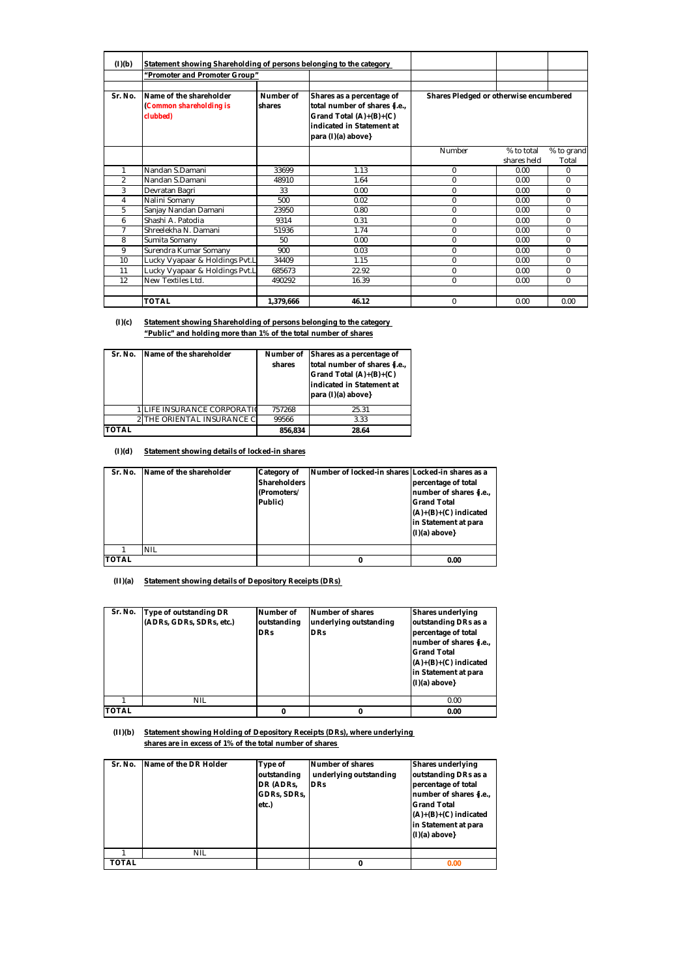| (I)(b)         | Statement showing Shareholding of persons belonging to the category |                     |                                                                                                                                             |                                        |             |            |
|----------------|---------------------------------------------------------------------|---------------------|---------------------------------------------------------------------------------------------------------------------------------------------|----------------------------------------|-------------|------------|
|                | "Promoter and Promoter Group"                                       |                     |                                                                                                                                             |                                        |             |            |
|                |                                                                     |                     |                                                                                                                                             |                                        |             |            |
| Sr. No.        | Name of the shareholder<br>(Common shareholding is<br>clubbed)      | Number of<br>shares | Shares as a percentage of<br>total number of shares {i.e.,<br>Grand Total (A)+(B)+(C)<br>indicated in Statement at<br>$para (I)(a) above\}$ | Shares Pledged or otherwise encumbered |             |            |
|                |                                                                     |                     |                                                                                                                                             | <b>Number</b>                          | % to total  | % to grand |
|                |                                                                     |                     |                                                                                                                                             |                                        | shares held | Total      |
| 1              | Nandan S.Damani                                                     | 33699               | 1.13                                                                                                                                        | $\bf{0}$                               | 0.00        | 0          |
| $\overline{2}$ | Nandan S.Damani                                                     | 48910               | 1.64                                                                                                                                        | $\bf{0}$                               | 0.00        | 0          |
| 3              | Devratan Bagri                                                      | 33                  | 0.00                                                                                                                                        | $\bf{0}$                               | 0.00        | 0          |
| 4              | Nalini Somany                                                       | 500                 | 0.02                                                                                                                                        | $\bf{0}$                               | 0.00        | 0          |
| 5              | Sanjay Nandan Damani                                                | 23950               | 0.80                                                                                                                                        | $\bf{0}$                               | 0.00        | 0          |
| 6              | Shashi A. Patodia                                                   | 9314                | 0.31                                                                                                                                        | $\bf{0}$                               | 0.00        | $\bf{0}$   |
| 7              | Shreelekha N. Damani                                                | 51936               | 1.74                                                                                                                                        | $\bf{0}$                               | 0.00        | $\bf{0}$   |
| 8              | <b>Sumita Somany</b>                                                | 50                  | 0.00                                                                                                                                        | $\bf{0}$                               | 0.00        | 0          |
| 9              | Surendra Kumar Somany                                               | 900                 | 0.03                                                                                                                                        | $\bf{0}$                               | 0.00        | 0          |
| 10             | Lucky Vyapaar & Holdings Pvt.L                                      | 34409               | 1.15                                                                                                                                        | $\bf{0}$                               | 0.00        | 0          |
| 11             | Lucky Vyapaar & Holdings Pvt.L                                      | 685673              | 22.92                                                                                                                                       | $\bf{0}$                               | 0.00        | $\bf{0}$   |
| 12             | New Textiles Ltd.                                                   | 490292              | 16.39                                                                                                                                       | $\bf{0}$                               | 0.00        | $\bf{0}$   |
|                |                                                                     |                     |                                                                                                                                             |                                        |             |            |
|                | <b>TOTAL</b>                                                        | 1.379.666           | 46.12                                                                                                                                       | $\bf{0}$                               | 0.00        | 0.00       |

**(I)(c) Statement showing Shareholding of persons belonging to the category "Public" and holding more than 1% of the total number of shares**

| Sr. No.      | Name of the shareholder          | shares  | Number of Shares as a percentage of<br>total number of shares {i.e.,<br>Grand Total $(A)+(B)+(C)$<br>indicated in Statement at<br>para (I)(a) above} |
|--------------|----------------------------------|---------|------------------------------------------------------------------------------------------------------------------------------------------------------|
|              | <b>LIFE INSURANCE CORPORATIO</b> | 757268  | 25.31                                                                                                                                                |
|              | 2 THE ORIENTAL INSURANCE C       | 99566   | 3.33                                                                                                                                                 |
| <b>TOTAL</b> |                                  | 856.834 | 28.64                                                                                                                                                |

## **(I)(d) Statement showing details of locked-in shares**

| Sr. No.      | Name of the shareholder | <b>Category of</b><br><b>Shareholders</b><br>(Promoters/<br>Public) | Number of locked-in shares Locked-in shares as a | percentage of total<br>number of shares {i.e.,<br><b>Grand Total</b><br>$(A)+(B)+(C)$ indicated<br>in Statement at para<br>$(I)(a)$ above} |
|--------------|-------------------------|---------------------------------------------------------------------|--------------------------------------------------|--------------------------------------------------------------------------------------------------------------------------------------------|
|              | <b>NIL</b>              |                                                                     |                                                  |                                                                                                                                            |
| <b>TOTAL</b> |                         |                                                                     | 0                                                | 0.00                                                                                                                                       |

**(II)(a) Statement showing details of Depository Receipts (DRs)** 

| Sr. No.      | Type of outstanding DR<br>(ADRs, GDRs, SDRs, etc.) | Number of<br>outstanding<br><b>DRs</b> | Number of shares<br>underlying outstanding<br><b>DRs</b> | <b>Shares underlying</b><br>outstanding DRs as a<br>percentage of total<br>number of shares {i.e.,<br><b>Grand Total</b><br>$(A)+(B)+(C)$ indicated<br>in Statement at para<br>$(I)(a)$ above} |
|--------------|----------------------------------------------------|----------------------------------------|----------------------------------------------------------|------------------------------------------------------------------------------------------------------------------------------------------------------------------------------------------------|
|              | <b>NIL</b>                                         |                                        |                                                          | 0.00                                                                                                                                                                                           |
| <b>TOTAL</b> |                                                    | 0                                      | 0                                                        | 0.00                                                                                                                                                                                           |

## **(II)(b) Statement showing Holding of Depository Receipts (DRs), where underlying shares are in excess of 1% of the total number of shares**

| Sr. No.      | Name of the DR Holder | Type of<br>outstanding<br>DR (ADRs, | Number of shares<br>underlying outstanding<br><b>DRs</b> | <b>Shares underlying</b><br>outstanding DRs as a<br>percentage of total                                             |
|--------------|-----------------------|-------------------------------------|----------------------------------------------------------|---------------------------------------------------------------------------------------------------------------------|
|              |                       | GDRs, SDRs,<br>etc.)                |                                                          | number of shares {i.e.,<br><b>Grand Total</b><br>$(A)+(B)+(C)$ indicated<br>in Statement at para<br>$(I)(a)$ above} |
|              | <b>NIL</b>            |                                     |                                                          |                                                                                                                     |
| <b>TOTAL</b> |                       |                                     | 0                                                        | 0.00                                                                                                                |